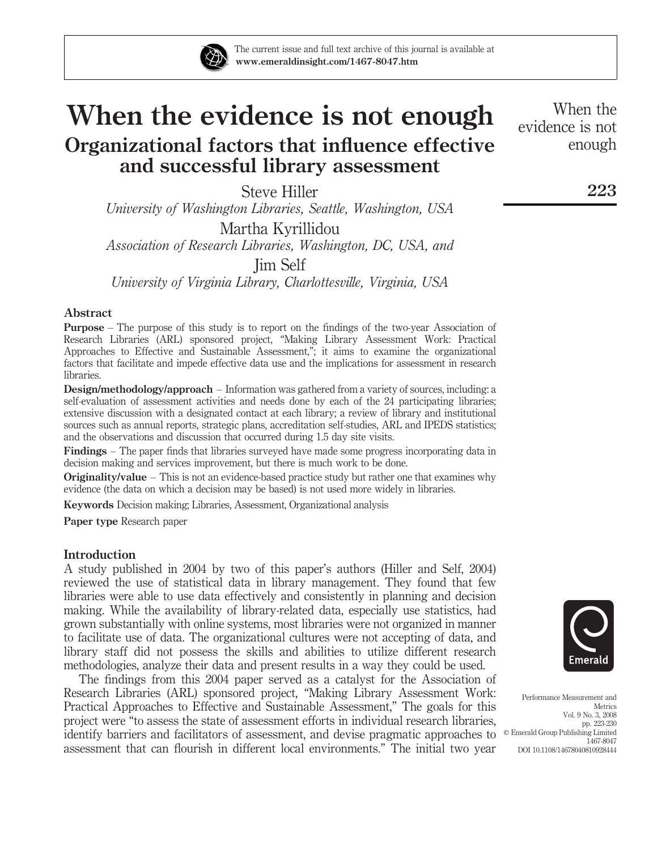

The current issue and full text archive of this journal is available at www.emeraldinsight.com/1467-8047.htm

# When the evidence is not enough Organizational factors that influence effective and successful library assessment

Steve Hiller

University of Washington Libraries, Seattle, Washington, USA Martha Kyrillidou Association of Research Libraries, Washington, DC, USA, and

Jim Self University of Virginia Library, Charlottesville, Virginia, USA

### Abstract

Purpose – The purpose of this study is to report on the findings of the two-year Association of Research Libraries (ARL) sponsored project, "Making Library Assessment Work: Practical Approaches to Effective and Sustainable Assessment,"; it aims to examine the organizational factors that facilitate and impede effective data use and the implications for assessment in research libraries.

Design/methodology/approach – Information was gathered from a variety of sources, including: a self-evaluation of assessment activities and needs done by each of the 24 participating libraries; extensive discussion with a designated contact at each library; a review of library and institutional sources such as annual reports, strategic plans, accreditation self-studies, ARL and IPEDS statistics; and the observations and discussion that occurred during 1.5 day site visits.

Findings – The paper finds that libraries surveyed have made some progress incorporating data in decision making and services improvement, but there is much work to be done.

**Originality/value** – This is not an evidence-based practice study but rather one that examines why evidence (the data on which a decision may be based) is not used more widely in libraries.

Keywords Decision making; Libraries, Assessment, Organizational analysis

Paper type Research paper

### Introduction

A study published in 2004 by two of this paper's authors (Hiller and Self, 2004) reviewed the use of statistical data in library management. They found that few libraries were able to use data effectively and consistently in planning and decision making. While the availability of library-related data, especially use statistics, had grown substantially with online systems, most libraries were not organized in manner to facilitate use of data. The organizational cultures were not accepting of data, and library staff did not possess the skills and abilities to utilize different research methodologies, analyze their data and present results in a way they could be used.

The findings from this 2004 paper served as a catalyst for the Association of Research Libraries (ARL) sponsored project, "Making Library Assessment Work: Practical Approaches to Effective and Sustainable Assessment," The goals for this project were "to assess the state of assessment efforts in individual research libraries, identify barriers and facilitators of assessment, and devise pragmatic approaches to  $\circ$  Emerald Group Publishing Limited assessment that can flourish in different local environments." The initial two year



Performance Measurement and Metrics Vol. 9 No. 3, 2008 pp. 223-230 1467-8047 DOI 10.1108/14678040810928444

When the evidence is not enough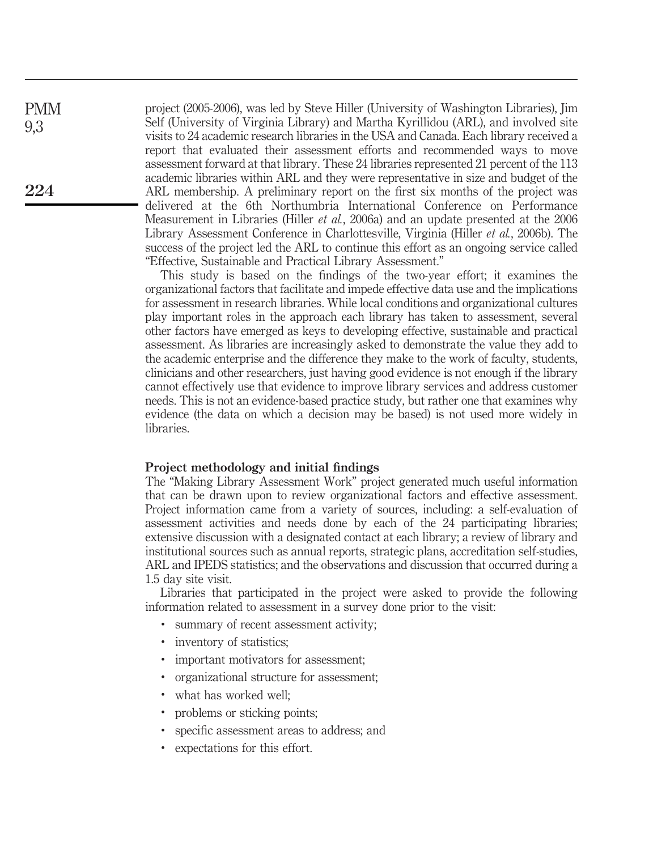project (2005-2006), was led by Steve Hiller (University of Washington Libraries), Jim Self (University of Virginia Library) and Martha Kyrillidou (ARL), and involved site visits to 24 academic research libraries in the USA and Canada. Each library received a report that evaluated their assessment efforts and recommended ways to move assessment forward at that library. These 24 libraries represented 21 percent of the 113 academic libraries within ARL and they were representative in size and budget of the ARL membership. A preliminary report on the first six months of the project was delivered at the 6th Northumbria International Conference on Performance Measurement in Libraries (Hiller et al., 2006a) and an update presented at the 2006 Library Assessment Conference in Charlottesville, Virginia (Hiller et al., 2006b). The success of the project led the ARL to continue this effort as an ongoing service called "Effective, Sustainable and Practical Library Assessment."

This study is based on the findings of the two-year effort; it examines the organizational factors that facilitate and impede effective data use and the implications for assessment in research libraries. While local conditions and organizational cultures play important roles in the approach each library has taken to assessment, several other factors have emerged as keys to developing effective, sustainable and practical assessment. As libraries are increasingly asked to demonstrate the value they add to the academic enterprise and the difference they make to the work of faculty, students, clinicians and other researchers, just having good evidence is not enough if the library cannot effectively use that evidence to improve library services and address customer needs. This is not an evidence-based practice study, but rather one that examines why evidence (the data on which a decision may be based) is not used more widely in libraries.

### Project methodology and initial findings

The "Making Library Assessment Work" project generated much useful information that can be drawn upon to review organizational factors and effective assessment. Project information came from a variety of sources, including: a self-evaluation of assessment activities and needs done by each of the 24 participating libraries; extensive discussion with a designated contact at each library; a review of library and institutional sources such as annual reports, strategic plans, accreditation self-studies, ARL and IPEDS statistics; and the observations and discussion that occurred during a 1.5 day site visit.

Libraries that participated in the project were asked to provide the following information related to assessment in a survey done prior to the visit:

- . summary of recent assessment activity;
- . inventory of statistics;
- . important motivators for assessment;
- . organizational structure for assessment;
- . what has worked well;
- . problems or sticking points;
- . specific assessment areas to address; and
- . expectations for this effort.

PMM 9,3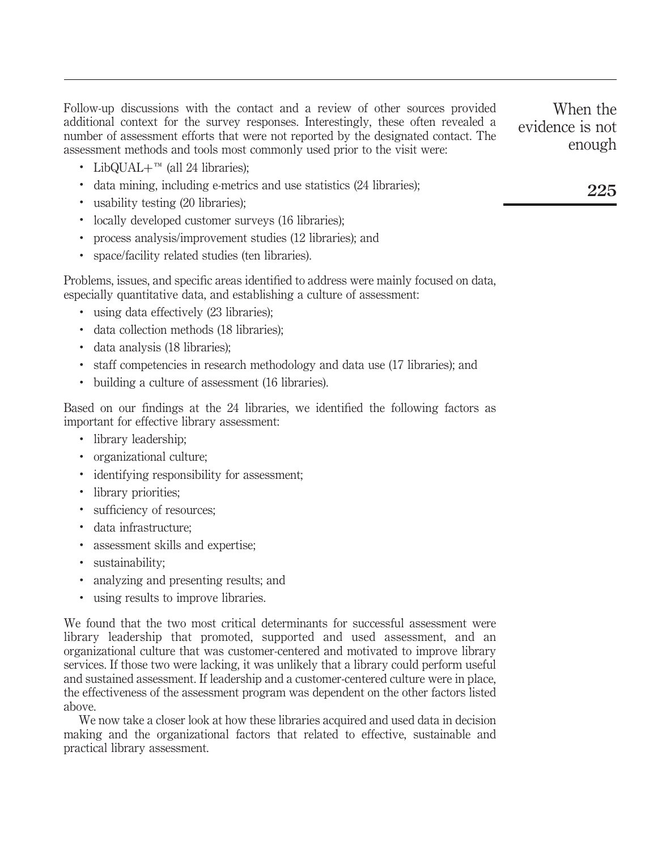Follow-up discussions with the contact and a review of other sources provided additional context for the survey responses. Interestingly, these often revealed a number of assessment efforts that were not reported by the designated contact. The assessment methods and tools most commonly used prior to the visit were:

- LibQUAL $+^{\pi}$  (all 24 libraries):
- . data mining, including e-metrics and use statistics (24 libraries);
- . usability testing (20 libraries);
- . locally developed customer surveys (16 libraries);
- . process analysis/improvement studies (12 libraries); and
- . space/facility related studies (ten libraries).

Problems, issues, and specific areas identified to address were mainly focused on data, especially quantitative data, and establishing a culture of assessment:

- . using data effectively (23 libraries);
- . data collection methods (18 libraries);
- . data analysis (18 libraries);
- . staff competencies in research methodology and data use (17 libraries); and
- . building a culture of assessment (16 libraries).

Based on our findings at the 24 libraries, we identified the following factors as important for effective library assessment:

- . library leadership;
- . organizational culture;
- . identifying responsibility for assessment;
- . library priorities;
- . sufficiency of resources;
- . data infrastructure;
- . assessment skills and expertise;
- . sustainability;
- . analyzing and presenting results; and
- . using results to improve libraries.

We found that the two most critical determinants for successful assessment were library leadership that promoted, supported and used assessment, and an organizational culture that was customer-centered and motivated to improve library services. If those two were lacking, it was unlikely that a library could perform useful and sustained assessment. If leadership and a customer-centered culture were in place, the effectiveness of the assessment program was dependent on the other factors listed above.

We now take a closer look at how these libraries acquired and used data in decision making and the organizational factors that related to effective, sustainable and practical library assessment.

When the evidence is not enough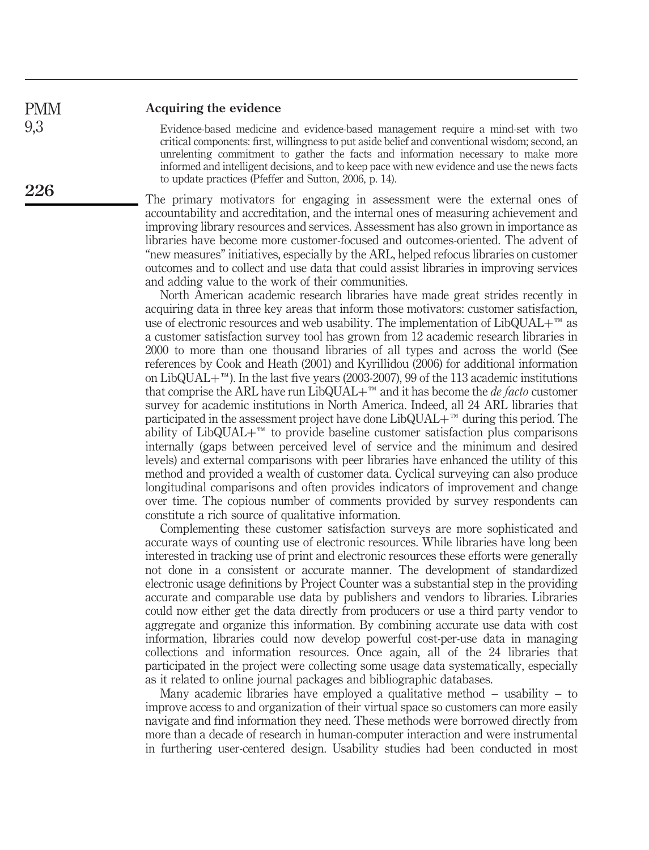# Acquiring the evidence

Evidence-based medicine and evidence-based management require a mind-set with two critical components: first, willingness to put aside belief and conventional wisdom; second, an unrelenting commitment to gather the facts and information necessary to make more informed and intelligent decisions, and to keep pace with new evidence and use the news facts to update practices (Pfeffer and Sutton, 2006, p. 14).

The primary motivators for engaging in assessment were the external ones of accountability and accreditation, and the internal ones of measuring achievement and improving library resources and services. Assessment has also grown in importance as libraries have become more customer-focused and outcomes-oriented. The advent of "new measures" initiatives, especially by the ARL, helped refocus libraries on customer outcomes and to collect and use data that could assist libraries in improving services and adding value to the work of their communities.

North American academic research libraries have made great strides recently in acquiring data in three key areas that inform those motivators: customer satisfaction, use of electronic resources and web usability. The implementation of  $LibQUAL+^{\mathsf{TM}}$  as a customer satisfaction survey tool has grown from 12 academic research libraries in 2000 to more than one thousand libraries of all types and across the world (See references by Cook and Heath (2001) and Kyrillidou (2006) for additional information on LibQUAL $+^{\infty}$ ). In the last five years (2003-2007), 99 of the 113 academic institutions that comprise the ARL have run LibQUAL $+$ <sup>™</sup> and it has become the *de facto* customer survey for academic institutions in North America. Indeed, all 24 ARL libraries that participated in the assessment project have done  $LibQUAL+^{rw}$  during this period. The ability of LibQUAL $+^{\infty}$  to provide baseline customer satisfaction plus comparisons internally (gaps between perceived level of service and the minimum and desired levels) and external comparisons with peer libraries have enhanced the utility of this method and provided a wealth of customer data. Cyclical surveying can also produce longitudinal comparisons and often provides indicators of improvement and change over time. The copious number of comments provided by survey respondents can constitute a rich source of qualitative information.

Complementing these customer satisfaction surveys are more sophisticated and accurate ways of counting use of electronic resources. While libraries have long been interested in tracking use of print and electronic resources these efforts were generally not done in a consistent or accurate manner. The development of standardized electronic usage definitions by Project Counter was a substantial step in the providing accurate and comparable use data by publishers and vendors to libraries. Libraries could now either get the data directly from producers or use a third party vendor to aggregate and organize this information. By combining accurate use data with cost information, libraries could now develop powerful cost-per-use data in managing collections and information resources. Once again, all of the 24 libraries that participated in the project were collecting some usage data systematically, especially as it related to online journal packages and bibliographic databases.

Many academic libraries have employed a qualitative method  $-$  usability  $-$  to improve access to and organization of their virtual space so customers can more easily navigate and find information they need. These methods were borrowed directly from more than a decade of research in human-computer interaction and were instrumental in furthering user-centered design. Usability studies had been conducted in most

PMM 9,3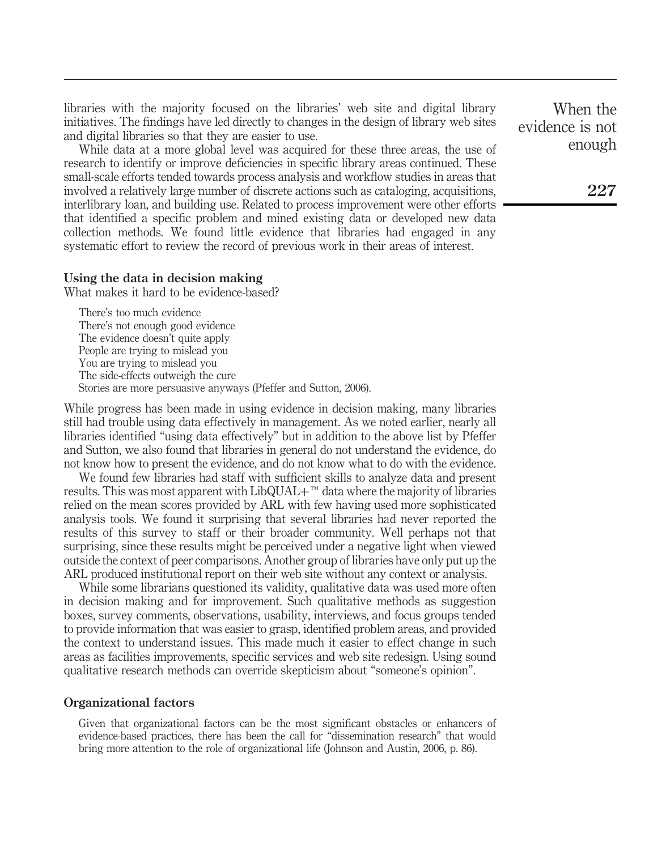libraries with the majority focused on the libraries' web site and digital library initiatives. The findings have led directly to changes in the design of library web sites and digital libraries so that they are easier to use.

While data at a more global level was acquired for these three areas, the use of research to identify or improve deficiencies in specific library areas continued. These small-scale efforts tended towards process analysis and workflow studies in areas that involved a relatively large number of discrete actions such as cataloging, acquisitions, interlibrary loan, and building use. Related to process improvement were other efforts that identified a specific problem and mined existing data or developed new data collection methods. We found little evidence that libraries had engaged in any systematic effort to review the record of previous work in their areas of interest.

Using the data in decision making

What makes it hard to be evidence-based?

There's too much evidence There's not enough good evidence The evidence doesn't quite apply People are trying to mislead you You are trying to mislead you The side-effects outweigh the cure Stories are more persuasive anyways (Pfeffer and Sutton, 2006).

While progress has been made in using evidence in decision making, many libraries still had trouble using data effectively in management. As we noted earlier, nearly all libraries identified "using data effectively" but in addition to the above list by Pfeffer and Sutton, we also found that libraries in general do not understand the evidence, do not know how to present the evidence, and do not know what to do with the evidence.

We found few libraries had staff with sufficient skills to analyze data and present results. This was most apparent with  $LibQUAL +<sup>m</sup>$  data where the majority of libraries relied on the mean scores provided by ARL with few having used more sophisticated analysis tools. We found it surprising that several libraries had never reported the results of this survey to staff or their broader community. Well perhaps not that surprising, since these results might be perceived under a negative light when viewed outside the context of peer comparisons. Another group of libraries have only put up the ARL produced institutional report on their web site without any context or analysis.

While some librarians questioned its validity, qualitative data was used more often in decision making and for improvement. Such qualitative methods as suggestion boxes, survey comments, observations, usability, interviews, and focus groups tended to provide information that was easier to grasp, identified problem areas, and provided the context to understand issues. This made much it easier to effect change in such areas as facilities improvements, specific services and web site redesign. Using sound qualitative research methods can override skepticism about "someone's opinion".

# Organizational factors

Given that organizational factors can be the most significant obstacles or enhancers of evidence-based practices, there has been the call for "dissemination research" that would bring more attention to the role of organizational life (Johnson and Austin, 2006, p. 86).

When the evidence is not enough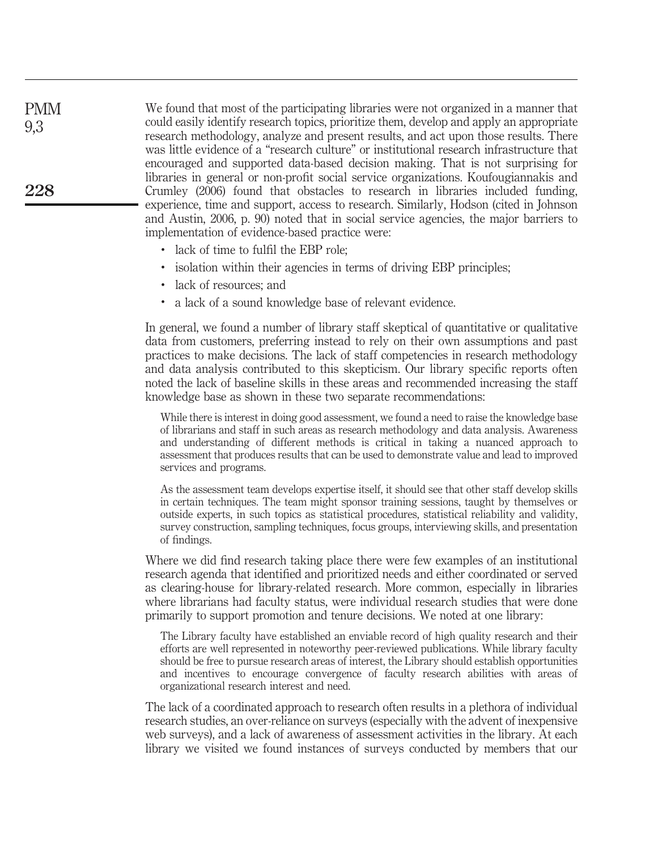We found that most of the participating libraries were not organized in a manner that could easily identify research topics, prioritize them, develop and apply an appropriate research methodology, analyze and present results, and act upon those results. There was little evidence of a "research culture" or institutional research infrastructure that encouraged and supported data-based decision making. That is not surprising for libraries in general or non-profit social service organizations. Koufougiannakis and Crumley (2006) found that obstacles to research in libraries included funding, experience, time and support, access to research. Similarly, Hodson (cited in Johnson and Austin, 2006, p. 90) noted that in social service agencies, the major barriers to implementation of evidence-based practice were:

- . lack of time to fulfil the EBP role;
- . isolation within their agencies in terms of driving EBP principles;
- . lack of resources; and
- . a lack of a sound knowledge base of relevant evidence.

In general, we found a number of library staff skeptical of quantitative or qualitative data from customers, preferring instead to rely on their own assumptions and past practices to make decisions. The lack of staff competencies in research methodology and data analysis contributed to this skepticism. Our library specific reports often noted the lack of baseline skills in these areas and recommended increasing the staff knowledge base as shown in these two separate recommendations:

While there is interest in doing good assessment, we found a need to raise the knowledge base of librarians and staff in such areas as research methodology and data analysis. Awareness and understanding of different methods is critical in taking a nuanced approach to assessment that produces results that can be used to demonstrate value and lead to improved services and programs.

As the assessment team develops expertise itself, it should see that other staff develop skills in certain techniques. The team might sponsor training sessions, taught by themselves or outside experts, in such topics as statistical procedures, statistical reliability and validity, survey construction, sampling techniques, focus groups, interviewing skills, and presentation of findings.

Where we did find research taking place there were few examples of an institutional research agenda that identified and prioritized needs and either coordinated or served as clearing-house for library-related research. More common, especially in libraries where librarians had faculty status, were individual research studies that were done primarily to support promotion and tenure decisions. We noted at one library:

The Library faculty have established an enviable record of high quality research and their efforts are well represented in noteworthy peer-reviewed publications. While library faculty should be free to pursue research areas of interest, the Library should establish opportunities and incentives to encourage convergence of faculty research abilities with areas of organizational research interest and need.

The lack of a coordinated approach to research often results in a plethora of individual research studies, an over-reliance on surveys (especially with the advent of inexpensive web surveys), and a lack of awareness of assessment activities in the library. At each library we visited we found instances of surveys conducted by members that our

PMM 9,3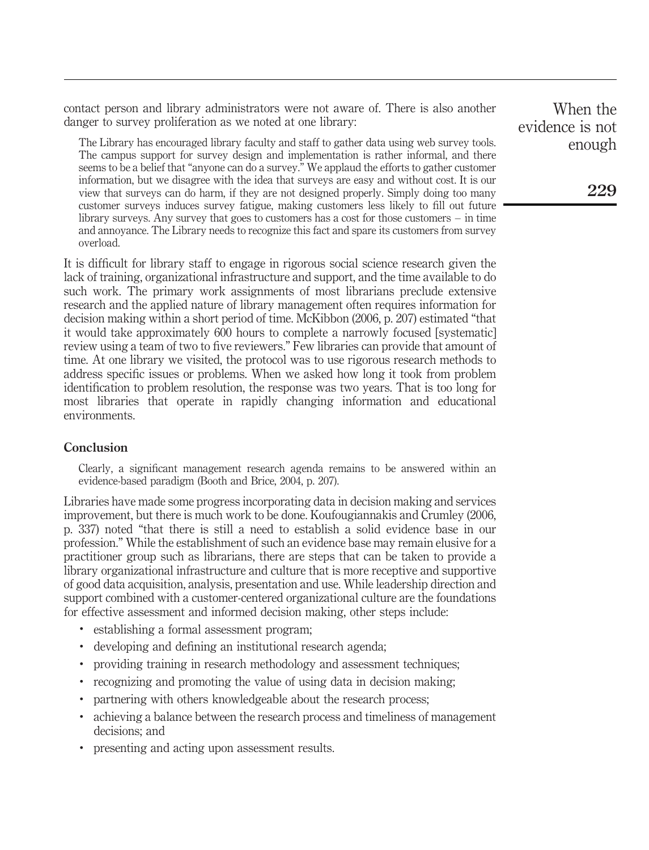contact person and library administrators were not aware of. There is also another danger to survey proliferation as we noted at one library:

The Library has encouraged library faculty and staff to gather data using web survey tools. The campus support for survey design and implementation is rather informal, and there seems to be a belief that "anyone can do a survey." We applaud the efforts to gather customer information, but we disagree with the idea that surveys are easy and without cost. It is our view that surveys can do harm, if they are not designed properly. Simply doing too many customer surveys induces survey fatigue, making customers less likely to fill out future library surveys. Any survey that goes to customers has a cost for those customers – in time and annoyance. The Library needs to recognize this fact and spare its customers from survey overload.

It is difficult for library staff to engage in rigorous social science research given the lack of training, organizational infrastructure and support, and the time available to do such work. The primary work assignments of most librarians preclude extensive research and the applied nature of library management often requires information for decision making within a short period of time. McKibbon (2006, p. 207) estimated "that it would take approximately 600 hours to complete a narrowly focused [systematic] review using a team of two to five reviewers." Few libraries can provide that amount of time. At one library we visited, the protocol was to use rigorous research methods to address specific issues or problems. When we asked how long it took from problem identification to problem resolution, the response was two years. That is too long for most libraries that operate in rapidly changing information and educational environments.

# Conclusion

Clearly, a significant management research agenda remains to be answered within an evidence-based paradigm (Booth and Brice, 2004, p. 207).

Libraries have made some progress incorporating data in decision making and services improvement, but there is much work to be done. Koufougiannakis and Crumley (2006, p. 337) noted "that there is still a need to establish a solid evidence base in our profession." While the establishment of such an evidence base may remain elusive for a practitioner group such as librarians, there are steps that can be taken to provide a library organizational infrastructure and culture that is more receptive and supportive of good data acquisition, analysis, presentation and use. While leadership direction and support combined with a customer-centered organizational culture are the foundations for effective assessment and informed decision making, other steps include:

- . establishing a formal assessment program;
- . developing and defining an institutional research agenda;
- . providing training in research methodology and assessment techniques;
- . recognizing and promoting the value of using data in decision making;
- . partnering with others knowledgeable about the research process;
- . achieving a balance between the research process and timeliness of management decisions; and
- . presenting and acting upon assessment results.

When the evidence is not enough